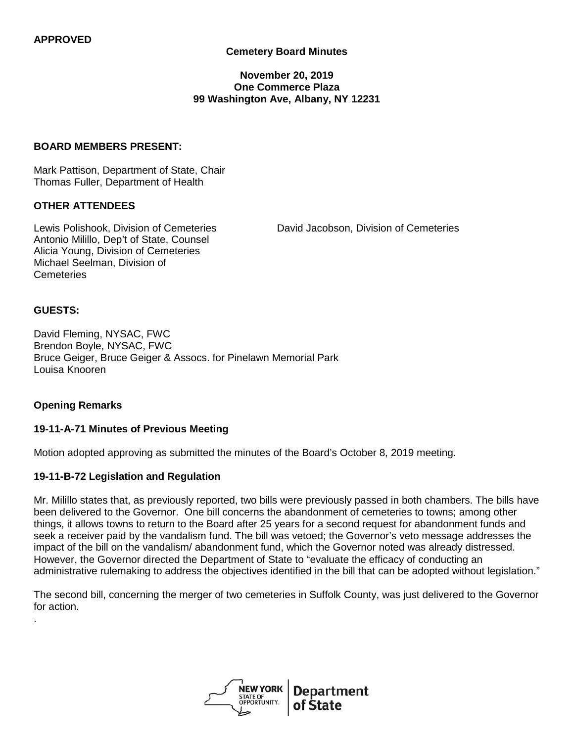### **Cemetery Board Minutes**

#### **November 20, 2019 One Commerce Plaza 99 Washington Ave, Albany, NY 12231**

#### **BOARD MEMBERS PRESENT:**

Mark Pattison, Department of State, Chair Thomas Fuller, Department of Health

#### **OTHER ATTENDEES**

Lewis Polishook, Division of Cemeteries David Jacobson, Division of Cemeteries Antonio Milillo, Dep't of State, Counsel Alicia Young, Division of Cemeteries Michael Seelman, Division of **Cemeteries** 

#### **GUESTS:**

.

David Fleming, NYSAC, FWC Brendon Boyle, NYSAC, FWC Bruce Geiger, Bruce Geiger & Assocs. for Pinelawn Memorial Park Louisa Knooren

### **Opening Remarks**

#### **19-11-A-71 Minutes of Previous Meeting**

Motion adopted approving as submitted the minutes of the Board's October 8, 2019 meeting.

#### **19-11-B-72 Legislation and Regulation**

Mr. Milillo states that, as previously reported, two bills were previously passed in both chambers. The bills have been delivered to the Governor. One bill concerns the abandonment of cemeteries to towns; among other things, it allows towns to return to the Board after 25 years for a second request for abandonment funds and seek a receiver paid by the vandalism fund. The bill was vetoed; the Governor's veto message addresses the impact of the bill on the vandalism/ abandonment fund, which the Governor noted was already distressed. However, the Governor directed the Department of State to "evaluate the efficacy of conducting an administrative rulemaking to address the objectives identified in the bill that can be adopted without legislation."

The second bill, concerning the merger of two cemeteries in Suffolk County, was just delivered to the Governor for action.

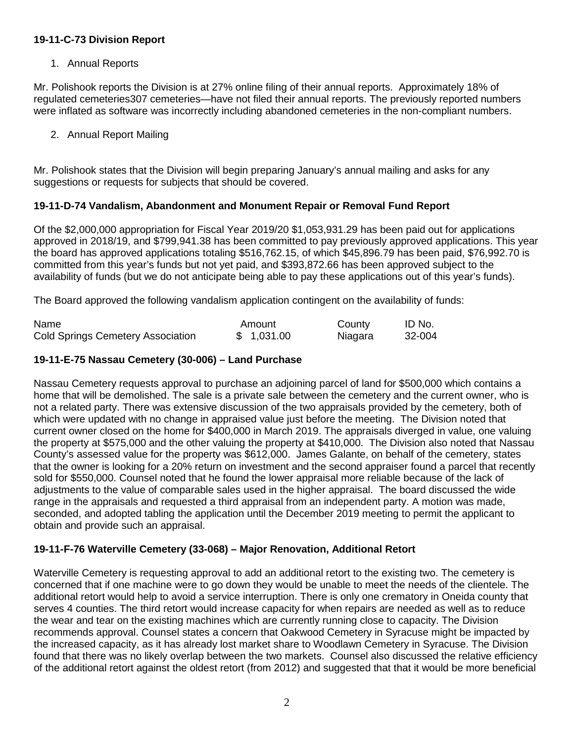### **19-11-C-73 Division Report**

## 1. Annual Reports

Mr. Polishook reports the Division is at 27% online filing of their annual reports. Approximately 18% of regulated cemeteries307 cemeteries—have not filed their annual reports. The previously reported numbers were inflated as software was incorrectly including abandoned cemeteries in the non-compliant numbers.

2. Annual Report Mailing

Mr. Polishook states that the Division will begin preparing January's annual mailing and asks for any suggestions or requests for subjects that should be covered.

### **19-11-D-74 Vandalism, Abandonment and Monument Repair or Removal Fund Report**

Of the \$2,000,000 appropriation for Fiscal Year 2019/20 \$1,053,931.29 has been paid out for applications approved in 2018/19, and \$799,941.38 has been committed to pay previously approved applications. This year the board has approved applications totaling \$516,762.15, of which \$45,896.79 has been paid, \$76,992.70 is committed from this year's funds but not yet paid, and \$393,872.66 has been approved subject to the availability of funds (but we do not anticipate being able to pay these applications out of this year's funds).

The Board approved the following vandalism application contingent on the availability of funds:

| Name                                     | Amount     | County  | ID No. |
|------------------------------------------|------------|---------|--------|
| <b>Cold Springs Cemetery Association</b> | \$1,031.00 | Niagara | 32-004 |

### **19-11-E-75 Nassau Cemetery (30-006) – Land Purchase**

Nassau Cemetery requests approval to purchase an adjoining parcel of land for \$500,000 which contains a home that will be demolished. The sale is a private sale between the cemetery and the current owner, who is not a related party. There was extensive discussion of the two appraisals provided by the cemetery, both of which were updated with no change in appraised value just before the meeting. The Division noted that current owner closed on the home for \$400,000 in March 2019. The appraisals diverged in value, one valuing the property at \$575,000 and the other valuing the property at \$410,000. The Division also noted that Nassau County's assessed value for the property was \$612,000. James Galante, on behalf of the cemetery, states that the owner is looking for a 20% return on investment and the second appraiser found a parcel that recently sold for \$550,000. Counsel noted that he found the lower appraisal more reliable because of the lack of adjustments to the value of comparable sales used in the higher appraisal. The board discussed the wide range in the appraisals and requested a third appraisal from an independent party. A motion was made, seconded, and adopted tabling the application until the December 2019 meeting to permit the applicant to obtain and provide such an appraisal.

### **19-11-F-76 Waterville Cemetery (33-068) – Major Renovation, Additional Retort**

Waterville Cemetery is requesting approval to add an additional retort to the existing two. The cemetery is concerned that if one machine were to go down they would be unable to meet the needs of the clientele. The additional retort would help to avoid a service interruption. There is only one crematory in Oneida county that serves 4 counties. The third retort would increase capacity for when repairs are needed as well as to reduce the wear and tear on the existing machines which are currently running close to capacity. The Division recommends approval. Counsel states a concern that Oakwood Cemetery in Syracuse might be impacted by the increased capacity, as it has already lost market share to Woodlawn Cemetery in Syracuse. The Division found that there was no likely overlap between the two markets. Counsel also discussed the relative efficiency of the additional retort against the oldest retort (from 2012) and suggested that that it would be more beneficial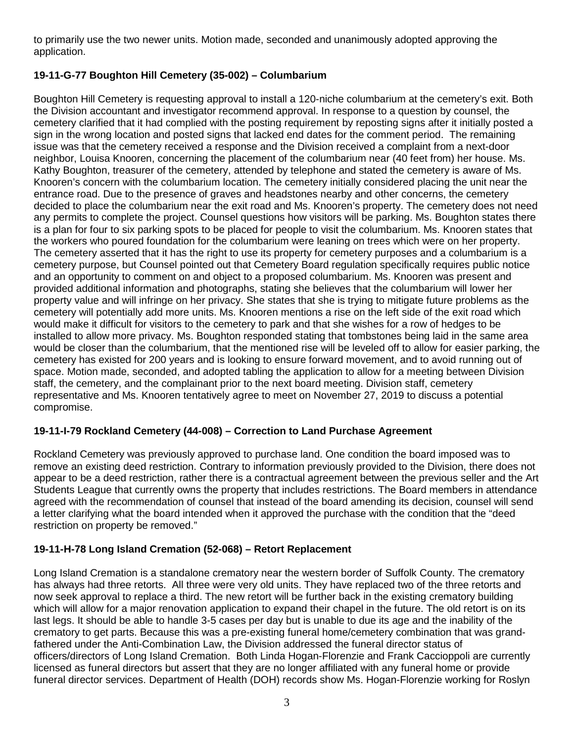to primarily use the two newer units. Motion made, seconded and unanimously adopted approving the application.

# **19-11-G-77 Boughton Hill Cemetery (35-002) – Columbarium**

Boughton Hill Cemetery is requesting approval to install a 120-niche columbarium at the cemetery's exit. Both the Division accountant and investigator recommend approval. In response to a question by counsel, the cemetery clarified that it had complied with the posting requirement by reposting signs after it initially posted a sign in the wrong location and posted signs that lacked end dates for the comment period. The remaining issue was that the cemetery received a response and the Division received a complaint from a next-door neighbor, Louisa Knooren, concerning the placement of the columbarium near (40 feet from) her house. Ms. Kathy Boughton, treasurer of the cemetery, attended by telephone and stated the cemetery is aware of Ms. Knooren's concern with the columbarium location. The cemetery initially considered placing the unit near the entrance road. Due to the presence of graves and headstones nearby and other concerns, the cemetery decided to place the columbarium near the exit road and Ms. Knooren's property. The cemetery does not need any permits to complete the project. Counsel questions how visitors will be parking. Ms. Boughton states there is a plan for four to six parking spots to be placed for people to visit the columbarium. Ms. Knooren states that the workers who poured foundation for the columbarium were leaning on trees which were on her property. The cemetery asserted that it has the right to use its property for cemetery purposes and a columbarium is a cemetery purpose, but Counsel pointed out that Cemetery Board regulation specifically requires public notice and an opportunity to comment on and object to a proposed columbarium. Ms. Knooren was present and provided additional information and photographs, stating she believes that the columbarium will lower her property value and will infringe on her privacy. She states that she is trying to mitigate future problems as the cemetery will potentially add more units. Ms. Knooren mentions a rise on the left side of the exit road which would make it difficult for visitors to the cemetery to park and that she wishes for a row of hedges to be installed to allow more privacy. Ms. Boughton responded stating that tombstones being laid in the same area would be closer than the columbarium, that the mentioned rise will be leveled off to allow for easier parking, the cemetery has existed for 200 years and is looking to ensure forward movement, and to avoid running out of space. Motion made, seconded, and adopted tabling the application to allow for a meeting between Division staff, the cemetery, and the complainant prior to the next board meeting. Division staff, cemetery representative and Ms. Knooren tentatively agree to meet on November 27, 2019 to discuss a potential compromise.

## **19-11-I-79 Rockland Cemetery (44-008) – Correction to Land Purchase Agreement**

Rockland Cemetery was previously approved to purchase land. One condition the board imposed was to remove an existing deed restriction. Contrary to information previously provided to the Division, there does not appear to be a deed restriction, rather there is a contractual agreement between the previous seller and the Art Students League that currently owns the property that includes restrictions. The Board members in attendance agreed with the recommendation of counsel that instead of the board amending its decision, counsel will send a letter clarifying what the board intended when it approved the purchase with the condition that the "deed restriction on property be removed."

## **19-11-H-78 Long Island Cremation (52-068) – Retort Replacement**

Long Island Cremation is a standalone crematory near the western border of Suffolk County. The crematory has always had three retorts. All three were very old units. They have replaced two of the three retorts and now seek approval to replace a third. The new retort will be further back in the existing crematory building which will allow for a major renovation application to expand their chapel in the future. The old retort is on its last legs. It should be able to handle 3-5 cases per day but is unable to due its age and the inability of the crematory to get parts. Because this was a pre-existing funeral home/cemetery combination that was grandfathered under the Anti-Combination Law, the Division addressed the funeral director status of officers/directors of Long Island Cremation. Both Linda Hogan-Florenzie and Frank Caccioppoli are currently licensed as funeral directors but assert that they are no longer affiliated with any funeral home or provide funeral director services. Department of Health (DOH) records show Ms. Hogan-Florenzie working for Roslyn